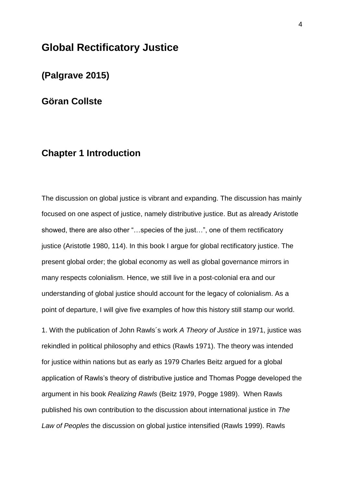# **Global Rectificatory Justice**

**(Palgrave 2015)**

**Göran Collste**

# **Chapter 1 Introduction**

The discussion on global justice is vibrant and expanding. The discussion has mainly focused on one aspect of justice, namely distributive justice. But as already Aristotle showed, there are also other "…species of the just…", one of them rectificatory justice (Aristotle 1980, 114). In this book I argue for global rectificatory justice. The present global order; the global economy as well as global governance mirrors in many respects colonialism. Hence, we still live in a post-colonial era and our understanding of global justice should account for the legacy of colonialism. As a point of departure, I will give five examples of how this history still stamp our world.

1. With the publication of John Rawls´s work *A Theory of Justice* in 1971, justice was rekindled in political philosophy and ethics (Rawls 1971). The theory was intended for justice within nations but as early as 1979 Charles Beitz argued for a global application of Rawls's theory of distributive justice and Thomas Pogge developed the argument in his book *Realizing Rawls* (Beitz 1979, Pogge 1989). When Rawls published his own contribution to the discussion about international justice in *The Law of Peoples* the discussion on global justice intensified (Rawls 1999). Rawls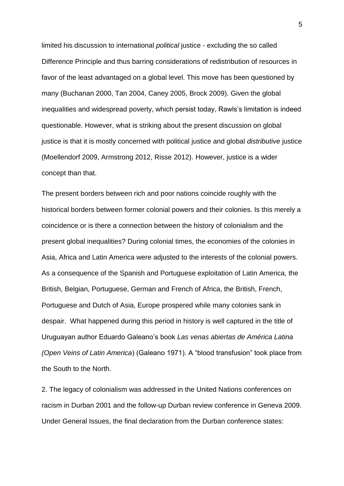limited his discussion to international *political* justice - excluding the so called Difference Principle and thus barring considerations of redistribution of resources in favor of the least advantaged on a global level. This move has been questioned by many (Buchanan 2000, Tan 2004, Caney 2005, Brock 2009). Given the global inequalities and widespread poverty, which persist today, Rawls's limitation is indeed questionable. However, what is striking about the present discussion on global justice is that it is mostly concerned with political justice and global *distributive* justice (Moellendorf 2009, Armstrong 2012, Risse 2012). However, justice is a wider concept than that.

The present borders between rich and poor nations coincide roughly with the historical borders between former colonial powers and their colonies. Is this merely a coincidence or is there a connection between the history of colonialism and the present global inequalities? During colonial times, the economies of the colonies in Asia, Africa and Latin America were adjusted to the interests of the colonial powers. As a consequence of the Spanish and Portuguese exploitation of Latin America, the British, Belgian, Portuguese, German and French of Africa, the British, French, Portuguese and Dutch of Asia, Europe prospered while many colonies sank in despair. What happened during this period in history is well captured in the title of Uruguayan author Eduardo Galeano's book *Las venas abiertas de América Latina (Open Veins of Latin America*) (Galeano 1971). A "blood transfusion" took place from the South to the North.

2. The legacy of colonialism was addressed in the United Nations conferences on racism in Durban 2001 and the follow-up Durban review conference in Geneva 2009. Under General Issues, the final declaration from the Durban conference states: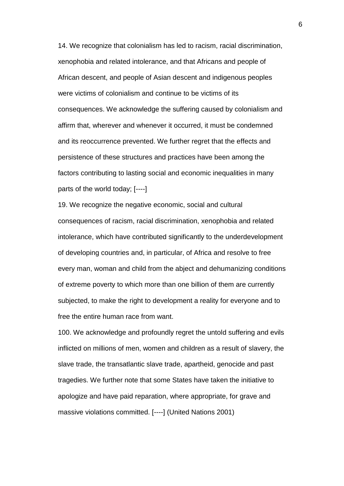14. We recognize that colonialism has led to racism, racial discrimination, xenophobia and related intolerance, and that Africans and people of African descent, and people of Asian descent and indigenous peoples were victims of colonialism and continue to be victims of its consequences. We acknowledge the suffering caused by colonialism and affirm that, wherever and whenever it occurred, it must be condemned and its reoccurrence prevented. We further regret that the effects and persistence of these structures and practices have been among the factors contributing to lasting social and economic inequalities in many parts of the world today; [----]

19. We recognize the negative economic, social and cultural consequences of racism, racial discrimination, xenophobia and related intolerance, which have contributed significantly to the underdevelopment of developing countries and, in particular, of Africa and resolve to free every man, woman and child from the abject and dehumanizing conditions of extreme poverty to which more than one billion of them are currently subjected, to make the right to development a reality for everyone and to free the entire human race from want.

100. We acknowledge and profoundly regret the untold suffering and evils inflicted on millions of men, women and children as a result of slavery, the slave trade, the transatlantic slave trade, apartheid, genocide and past tragedies. We further note that some States have taken the initiative to apologize and have paid reparation, where appropriate, for grave and massive violations committed. [----] (United Nations 2001)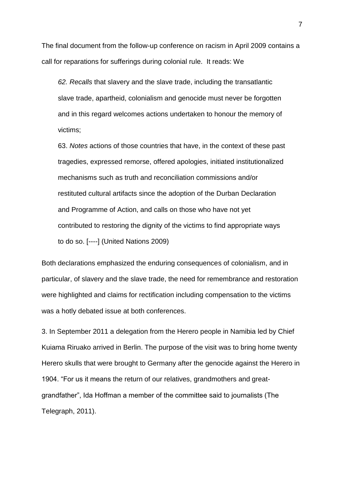The final document from the follow-up conference on racism in April 2009 contains a call for reparations for sufferings during colonial rule. It reads: We

*62. Recalls* that slavery and the slave trade, including the transatlantic slave trade, apartheid, colonialism and genocide must never be forgotten and in this regard welcomes actions undertaken to honour the memory of victims;

63. *Notes* actions of those countries that have, in the context of these past tragedies, expressed remorse, offered apologies, initiated institutionalized mechanisms such as truth and reconciliation commissions and/or restituted cultural artifacts since the adoption of the Durban Declaration and Programme of Action, and calls on those who have not yet contributed to restoring the dignity of the victims to find appropriate ways to do so. [----] (United Nations 2009)

Both declarations emphasized the enduring consequences of colonialism, and in particular, of slavery and the slave trade, the need for remembrance and restoration were highlighted and claims for rectification including compensation to the victims was a hotly debated issue at both conferences.

3. In September 2011 a delegation from the Herero people in Namibia led by Chief Kuiama Riruako arrived in Berlin. The purpose of the visit was to bring home twenty Herero skulls that were brought to Germany after the genocide against the Herero in 1904. "For us it means the return of our relatives, grandmothers and greatgrandfather", Ida Hoffman a member of the committee said to journalists (The Telegraph, 2011).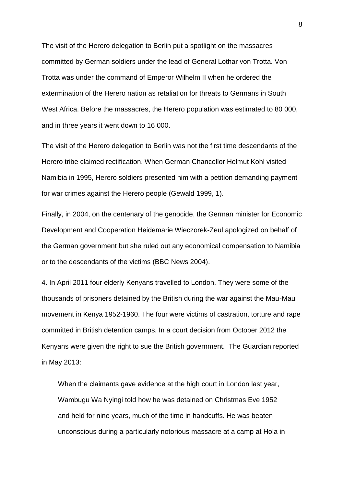The visit of the Herero delegation to Berlin put a spotlight on the massacres committed by German soldiers under the lead of General Lothar von Trotta. Von Trotta was under the command of Emperor Wilhelm II when he ordered the extermination of the Herero nation as retaliation for threats to Germans in South West Africa. Before the massacres, the Herero population was estimated to 80 000, and in three years it went down to 16 000.

The visit of the Herero delegation to Berlin was not the first time descendants of the Herero tribe claimed rectification. When German Chancellor Helmut Kohl visited Namibia in 1995, Herero soldiers presented him with a petition demanding payment for war crimes against the Herero people (Gewald 1999, 1).

Finally, in 2004, on the centenary of the genocide, the German minister for Economic Development and Cooperation Heidemarie Wieczorek-Zeul apologized on behalf of the German government but she ruled out any economical compensation to Namibia or to the descendants of the victims (BBC News 2004).

4. In April 2011 four elderly Kenyans travelled to London. They were some of the thousands of prisoners detained by the British during the war against the Mau-Mau movement in Kenya 1952-1960. The four were victims of castration, torture and rape committed in British detention camps. In a court decision from October 2012 the Kenyans were given the right to sue the British government. The Guardian reported in May 2013:

When the claimants gave evidence at the high court in London last year, Wambugu Wa Nyingi [told how he was detained on Christmas Eve 1952](http://www.guardian.co.uk/world/2012/jul/17/kenyan-torture-victims-give-evidence) and held for nine years, much of the time in handcuffs. He was beaten unconscious during a particularly notorious massacre at a camp at Hola in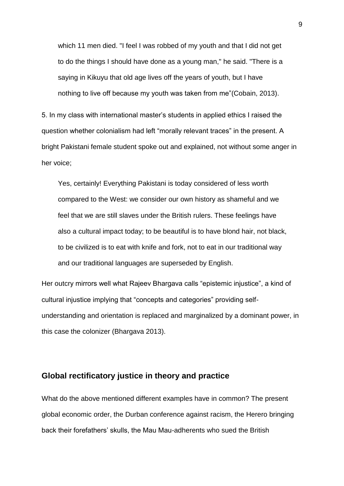which 11 men died. "I feel I was robbed of my youth and that I did not get to do the things I should have done as a young man," he said. "There is a saying in Kikuyu that old age lives off the years of youth, but I have nothing to live off because my youth was taken from me"(Cobain, 2013).

5. In my class with international master's students in applied ethics I raised the question whether colonialism had left "morally relevant traces" in the present. A bright Pakistani female student spoke out and explained, not without some anger in her voice;

Yes, certainly! Everything Pakistani is today considered of less worth compared to the West: we consider our own history as shameful and we feel that we are still slaves under the British rulers. These feelings have also a cultural impact today; to be beautiful is to have blond hair, not black, to be civilized is to eat with knife and fork, not to eat in our traditional way and our traditional languages are superseded by English.

Her outcry mirrors well what Rajeev Bhargava calls "epistemic injustice", a kind of cultural injustice implying that "concepts and categories" providing selfunderstanding and orientation is replaced and marginalized by a dominant power, in this case the colonizer (Bhargava 2013).

# **Global rectificatory justice in theory and practice**

What do the above mentioned different examples have in common? The present global economic order, the Durban conference against racism, the Herero bringing back their forefathers' skulls, the Mau Mau-adherents who sued the British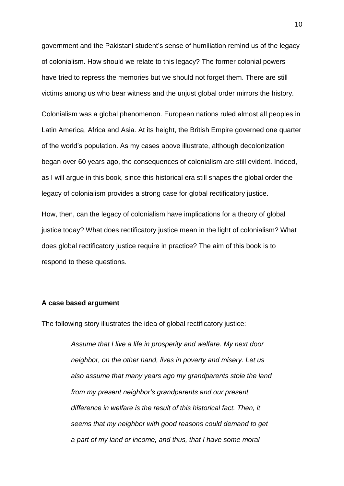government and the Pakistani student's sense of humiliation remind us of the legacy of colonialism. How should we relate to this legacy? The former colonial powers have tried to repress the memories but we should not forget them. There are still victims among us who bear witness and the unjust global order mirrors the history.

Colonialism was a global phenomenon. European nations ruled almost all peoples in Latin America, Africa and Asia. At its height, the British Empire governed one quarter of the world's population. As my cases above illustrate, although decolonization began over 60 years ago, the consequences of colonialism are still evident. Indeed, as I will argue in this book, since this historical era still shapes the global order the legacy of colonialism provides a strong case for global rectificatory justice.

How, then, can the legacy of colonialism have implications for a theory of global justice today? What does rectificatory justice mean in the light of colonialism? What does global rectificatory justice require in practice? The aim of this book is to respond to these questions.

## **A case based argument**

The following story illustrates the idea of global rectificatory justice:

*Assume that I live a life in prosperity and welfare. My next door neighbor, on the other hand, lives in poverty and misery. Let us also assume that many years ago my grandparents stole the land from my present neighbor's grandparents and our present difference in welfare is the result of this historical fact. Then, it seems that my neighbor with good reasons could demand to get a part of my land or income, and thus, that I have some moral*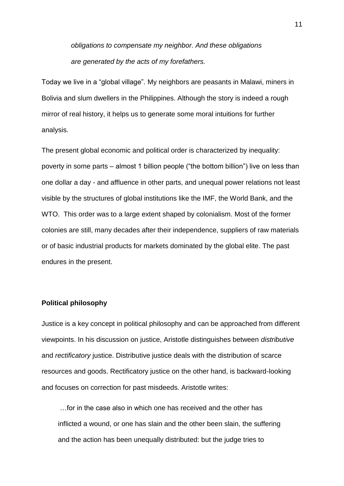*obligations to compensate my neighbor. And these obligations are generated by the acts of my forefathers.* 

Today we live in a "global village". My neighbors are peasants in Malawi, miners in Bolivia and slum dwellers in the Philippines. Although the story is indeed a rough mirror of real history, it helps us to generate some moral intuitions for further analysis.

The present global economic and political order is characterized by inequality: poverty in some parts – almost 1 billion people ("the bottom billion") live on less than one dollar a day - and affluence in other parts, and unequal power relations not least visible by the structures of global institutions like the IMF, the World Bank, and the WTO. This order was to a large extent shaped by colonialism. Most of the former colonies are still, many decades after their independence, suppliers of raw materials or of basic industrial products for markets dominated by the global elite. The past endures in the present.

## **Political philosophy**

Justice is a key concept in political philosophy and can be approached from different viewpoints. In his discussion on justice, Aristotle distinguishes between *distributive* and *rectificatory* justice. Distributive justice deals with the distribution of scarce resources and goods. Rectificatory justice on the other hand, is backward-looking and focuses on correction for past misdeeds. Aristotle writes:

…for in the case also in which one has received and the other has inflicted a wound, or one has slain and the other been slain, the suffering and the action has been unequally distributed: but the judge tries to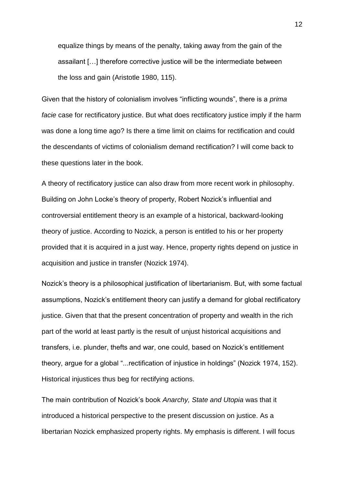equalize things by means of the penalty, taking away from the gain of the assailant […] therefore corrective justice will be the intermediate between the loss and gain (Aristotle 1980, 115).

Given that the history of colonialism involves "inflicting wounds", there is a *prima facie* case for rectificatory justice. But what does rectificatory justice imply if the harm was done a long time ago? Is there a time limit on claims for rectification and could the descendants of victims of colonialism demand rectification? I will come back to these questions later in the book.

A theory of rectificatory justice can also draw from more recent work in philosophy. Building on John Locke's theory of property, Robert Nozick's influential and controversial entitlement theory is an example of a historical, backward-looking theory of justice. According to Nozick, a person is entitled to his or her property provided that it is acquired in a just way. Hence, property rights depend on justice in acquisition and justice in transfer (Nozick 1974).

Nozick's theory is a philosophical justification of libertarianism. But, with some factual assumptions, Nozick's entitlement theory can justify a demand for global rectificatory justice. Given that that the present concentration of property and wealth in the rich part of the world at least partly is the result of unjust historical acquisitions and transfers, i.e. plunder, thefts and war, one could, based on Nozick's entitlement theory, argue for a global "...rectification of injustice in holdings" (Nozick 1974, 152). Historical injustices thus beg for rectifying actions.

The main contribution of Nozick's book *Anarchy, State and Utopia* was that it introduced a historical perspective to the present discussion on justice. As a libertarian Nozick emphasized property rights. My emphasis is different. I will focus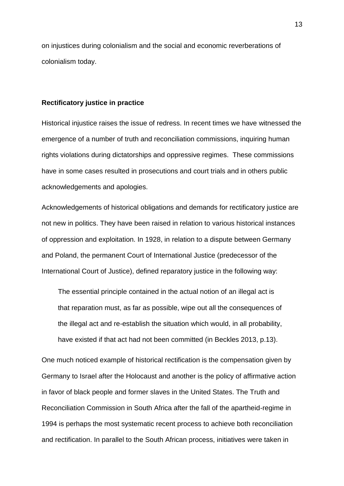on injustices during colonialism and the social and economic reverberations of colonialism today.

#### **Rectificatory justice in practice**

Historical injustice raises the issue of redress. In recent times we have witnessed the emergence of a number of truth and reconciliation commissions, inquiring human rights violations during dictatorships and oppressive regimes. These commissions have in some cases resulted in prosecutions and court trials and in others public acknowledgements and apologies.

Acknowledgements of historical obligations and demands for rectificatory justice are not new in politics. They have been raised in relation to various historical instances of oppression and exploitation. In 1928, in relation to a dispute between Germany and Poland, the permanent Court of International Justice (predecessor of the International Court of Justice), defined reparatory justice in the following way:

The essential principle contained in the actual notion of an illegal act is that reparation must, as far as possible, wipe out all the consequences of the illegal act and re-establish the situation which would, in all probability, have existed if that act had not been committed (in Beckles 2013, p.13).

One much noticed example of historical rectification is the compensation given by Germany to Israel after the Holocaust and another is the policy of affirmative action in favor of black people and former slaves in the United States. The Truth and Reconciliation Commission in South Africa after the fall of the apartheid-regime in 1994 is perhaps the most systematic recent process to achieve both reconciliation and rectification. In parallel to the South African process, initiatives were taken in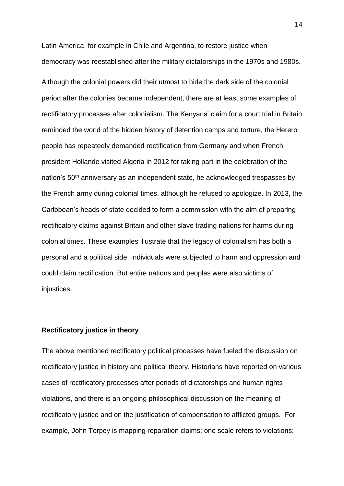Latin America, for example in Chile and Argentina, to restore justice when democracy was reestablished after the military dictatorships in the 1970s and 1980s. Although the colonial powers did their utmost to hide the dark side of the colonial period after the colonies became independent, there are at least some examples of rectificatory processes after colonialism. The Kenyans' claim for a court trial in Britain reminded the world of the hidden history of detention camps and torture, the Herero people has repeatedly demanded rectification from Germany and when French president Hollande visited Algeria in 2012 for taking part in the celebration of the nation's 50<sup>th</sup> anniversary as an independent state, he acknowledged trespasses by the French army during colonial times, although he refused to apologize. In 2013, the Caribbean's heads of state decided to form a commission with the aim of preparing rectificatory claims against Britain and other slave trading nations for harms during colonial times. These examples illustrate that the legacy of colonialism has both a personal and a political side. Individuals were subjected to harm and oppression and could claim rectification. But entire nations and peoples were also victims of injustices.

## **Rectificatory justice in theory**

The above mentioned rectificatory political processes have fueled the discussion on rectificatory justice in history and political theory. Historians have reported on various cases of rectificatory processes after periods of dictatorships and human rights violations, and there is an ongoing philosophical discussion on the meaning of rectificatory justice and on the justification of compensation to afflicted groups. For example, John Torpey is mapping reparation claims; one scale refers to violations;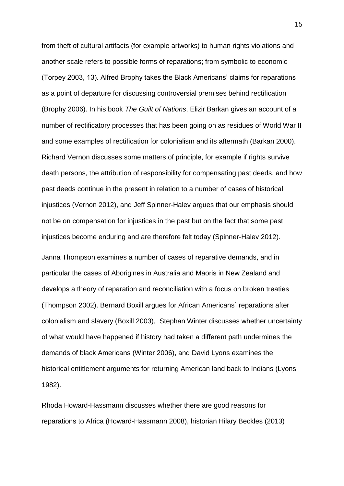from theft of cultural artifacts (for example artworks) to human rights violations and another scale refers to possible forms of reparations; from symbolic to economic (Torpey 2003, 13). Alfred Brophy takes the Black Americans' claims for reparations as a point of departure for discussing controversial premises behind rectification (Brophy 2006). In his book *The Guilt of Nations*, Elizir Barkan gives an account of a number of rectificatory processes that has been going on as residues of World War II and some examples of rectification for colonialism and its aftermath (Barkan 2000). Richard Vernon discusses some matters of principle, for example if rights survive death persons, the attribution of responsibility for compensating past deeds, and how past deeds continue in the present in relation to a number of cases of historical injustices (Vernon 2012), and Jeff Spinner-Halev argues that our emphasis should not be on compensation for injustices in the past but on the fact that some past injustices become enduring and are therefore felt today (Spinner-Halev 2012).

Janna Thompson examines a number of cases of reparative demands, and in particular the cases of Aborigines in Australia and Maoris in New Zealand and develops a theory of reparation and reconciliation with a focus on broken treaties (Thompson 2002). Bernard Boxill argues for African Americans´ reparations after colonialism and slavery (Boxill 2003), Stephan Winter discusses whether uncertainty of what would have happened if history had taken a different path undermines the demands of black Americans (Winter 2006), and David Lyons examines the historical entitlement arguments for returning American land back to Indians (Lyons 1982).

Rhoda Howard-Hassmann discusses whether there are good reasons for reparations to Africa (Howard-Hassmann 2008), historian Hilary Beckles (2013)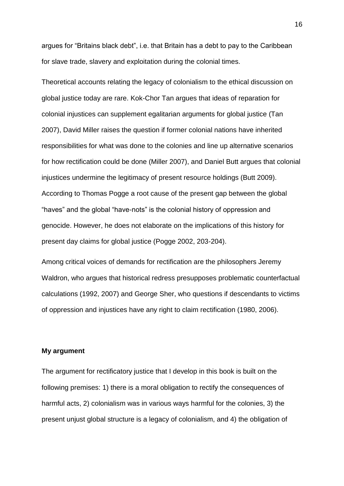argues for "Britains black debt", i.e. that Britain has a debt to pay to the Caribbean for slave trade, slavery and exploitation during the colonial times.

Theoretical accounts relating the legacy of colonialism to the ethical discussion on global justice today are rare. Kok-Chor Tan argues that ideas of reparation for colonial injustices can supplement egalitarian arguments for global justice (Tan 2007), David Miller raises the question if former colonial nations have inherited responsibilities for what was done to the colonies and line up alternative scenarios for how rectification could be done (Miller 2007), and Daniel Butt argues that colonial injustices undermine the legitimacy of present resource holdings (Butt 2009). According to Thomas Pogge a root cause of the present gap between the global "haves" and the global "have-nots" is the colonial history of oppression and genocide. However, he does not elaborate on the implications of this history for present day claims for global justice (Pogge 2002, 203-204).

Among critical voices of demands for rectification are the philosophers Jeremy Waldron, who argues that historical redress presupposes problematic counterfactual calculations (1992, 2007) and George Sher, who questions if descendants to victims of oppression and injustices have any right to claim rectification (1980, 2006).

# **My argument**

The argument for rectificatory justice that I develop in this book is built on the following premises: 1) there is a moral obligation to rectify the consequences of harmful acts, 2) colonialism was in various ways harmful for the colonies, 3) the present unjust global structure is a legacy of colonialism, and 4) the obligation of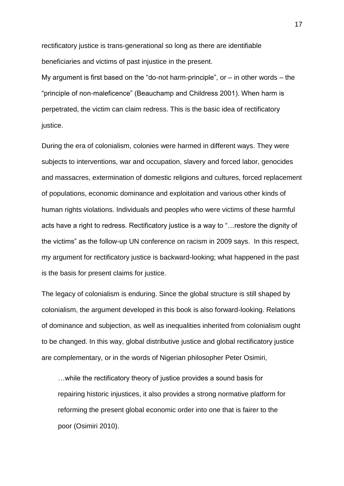rectificatory justice is trans-generational so long as there are identifiable beneficiaries and victims of past injustice in the present.

My argument is first based on the "do-not harm-principle", or  $-$  in other words  $-$  the "principle of non-maleficence" (Beauchamp and Childress 2001). When harm is perpetrated, the victim can claim redress. This is the basic idea of rectificatory justice.

During the era of colonialism, colonies were harmed in different ways. They were subjects to interventions, war and occupation, slavery and forced labor, genocides and massacres, extermination of domestic religions and cultures, forced replacement of populations, economic dominance and exploitation and various other kinds of human rights violations. Individuals and peoples who were victims of these harmful acts have a right to redress. Rectificatory justice is a way to "…restore the dignity of the victims" as the follow-up UN conference on racism in 2009 says. In this respect, my argument for rectificatory justice is backward-looking; what happened in the past is the basis for present claims for justice.

The legacy of colonialism is enduring. Since the global structure is still shaped by colonialism, the argument developed in this book is also forward-looking. Relations of dominance and subjection, as well as inequalities inherited from colonialism ought to be changed. In this way, global distributive justice and global rectificatory justice are complementary, or in the words of Nigerian philosopher Peter Osimiri,

…while the rectificatory theory of justice provides a sound basis for repairing historic injustices, it also provides a strong normative platform for reforming the present global economic order into one that is fairer to the poor (Osimiri 2010).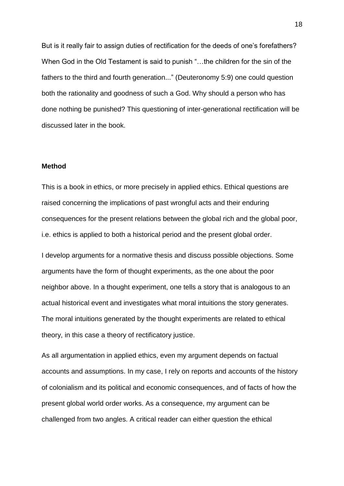But is it really fair to assign duties of rectification for the deeds of one's forefathers? When God in the Old Testament is said to punish "...the children for the sin of the fathers to the third and fourth generation..." (Deuteronomy 5:9) one could question both the rationality and goodness of such a God. Why should a person who has done nothing be punished? This questioning of inter-generational rectification will be discussed later in the book.

#### **Method**

This is a book in ethics, or more precisely in applied ethics. Ethical questions are raised concerning the implications of past wrongful acts and their enduring consequences for the present relations between the global rich and the global poor, i.e. ethics is applied to both a historical period and the present global order.

I develop arguments for a normative thesis and discuss possible objections. Some arguments have the form of thought experiments, as the one about the poor neighbor above. In a thought experiment, one tells a story that is analogous to an actual historical event and investigates what moral intuitions the story generates. The moral intuitions generated by the thought experiments are related to ethical theory, in this case a theory of rectificatory justice.

As all argumentation in applied ethics, even my argument depends on factual accounts and assumptions. In my case, I rely on reports and accounts of the history of colonialism and its political and economic consequences, and of facts of how the present global world order works. As a consequence, my argument can be challenged from two angles. A critical reader can either question the ethical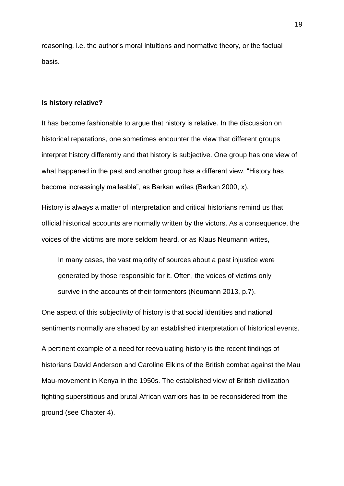reasoning, i.e. the author's moral intuitions and normative theory, or the factual basis.

#### **Is history relative?**

It has become fashionable to argue that history is relative. In the discussion on historical reparations, one sometimes encounter the view that different groups interpret history differently and that history is subjective. One group has one view of what happened in the past and another group has a different view. "History has become increasingly malleable", as Barkan writes (Barkan 2000, x).

History is always a matter of interpretation and critical historians remind us that official historical accounts are normally written by the victors. As a consequence, the voices of the victims are more seldom heard, or as Klaus Neumann writes,

In many cases, the vast majority of sources about a past injustice were generated by those responsible for it. Often, the voices of victims only survive in the accounts of their tormentors (Neumann 2013, p.7).

One aspect of this subjectivity of history is that social identities and national sentiments normally are shaped by an established interpretation of historical events.

A pertinent example of a need for reevaluating history is the recent findings of historians David Anderson and Caroline Elkins of the British combat against the Mau Mau-movement in Kenya in the 1950s. The established view of British civilization fighting superstitious and brutal African warriors has to be reconsidered from the ground (see Chapter 4).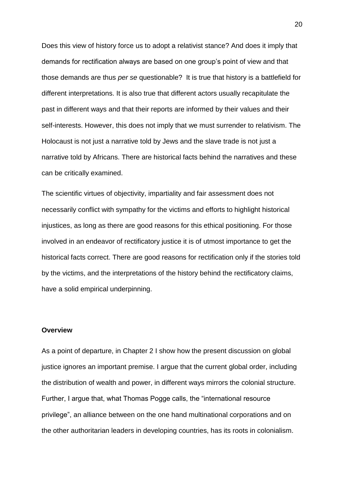Does this view of history force us to adopt a relativist stance? And does it imply that demands for rectification always are based on one group's point of view and that those demands are thus *per se* questionable? It is true that history is a battlefield for different interpretations. It is also true that different actors usually recapitulate the past in different ways and that their reports are informed by their values and their self-interests. However, this does not imply that we must surrender to relativism. The Holocaust is not just a narrative told by Jews and the slave trade is not just a narrative told by Africans. There are historical facts behind the narratives and these can be critically examined.

The scientific virtues of objectivity, impartiality and fair assessment does not necessarily conflict with sympathy for the victims and efforts to highlight historical injustices, as long as there are good reasons for this ethical positioning. For those involved in an endeavor of rectificatory justice it is of utmost importance to get the historical facts correct. There are good reasons for rectification only if the stories told by the victims, and the interpretations of the history behind the rectificatory claims, have a solid empirical underpinning.

#### **Overview**

As a point of departure, in Chapter 2 I show how the present discussion on global justice ignores an important premise. I argue that the current global order, including the distribution of wealth and power, in different ways mirrors the colonial structure. Further, I argue that, what Thomas Pogge calls, the "international resource privilege", an alliance between on the one hand multinational corporations and on the other authoritarian leaders in developing countries, has its roots in colonialism.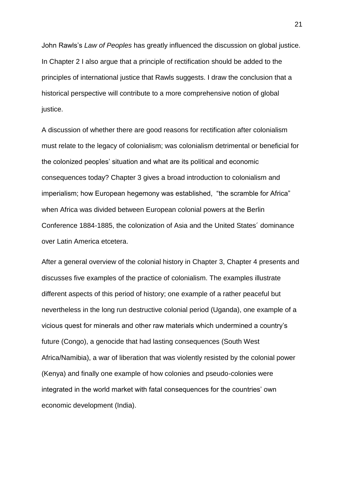John Rawls's *Law of Peoples* has greatly influenced the discussion on global justice. In Chapter 2 I also argue that a principle of rectification should be added to the principles of international justice that Rawls suggests. I draw the conclusion that a historical perspective will contribute to a more comprehensive notion of global justice.

A discussion of whether there are good reasons for rectification after colonialism must relate to the legacy of colonialism; was colonialism detrimental or beneficial for the colonized peoples' situation and what are its political and economic consequences today? Chapter 3 gives a broad introduction to colonialism and imperialism; how European hegemony was established, "the scramble for Africa" when Africa was divided between European colonial powers at the Berlin Conference 1884-1885, the colonization of Asia and the United States´ dominance over Latin America etcetera.

After a general overview of the colonial history in Chapter 3, Chapter 4 presents and discusses five examples of the practice of colonialism. The examples illustrate different aspects of this period of history; one example of a rather peaceful but nevertheless in the long run destructive colonial period (Uganda), one example of a vicious quest for minerals and other raw materials which undermined a country's future (Congo), a genocide that had lasting consequences (South West Africa/Namibia), a war of liberation that was violently resisted by the colonial power (Kenya) and finally one example of how colonies and pseudo-colonies were integrated in the world market with fatal consequences for the countries' own economic development (India).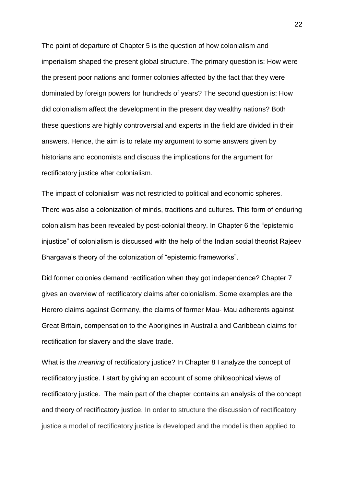The point of departure of Chapter 5 is the question of how colonialism and imperialism shaped the present global structure. The primary question is: How were the present poor nations and former colonies affected by the fact that they were dominated by foreign powers for hundreds of years? The second question is: How did colonialism affect the development in the present day wealthy nations? Both these questions are highly controversial and experts in the field are divided in their answers. Hence, the aim is to relate my argument to some answers given by historians and economists and discuss the implications for the argument for rectificatory justice after colonialism.

The impact of colonialism was not restricted to political and economic spheres. There was also a colonization of minds, traditions and cultures. This form of enduring colonialism has been revealed by post-colonial theory. In Chapter 6 the "epistemic injustice" of colonialism is discussed with the help of the Indian social theorist Rajeev Bhargava's theory of the colonization of "epistemic frameworks".

Did former colonies demand rectification when they got independence? Chapter 7 gives an overview of rectificatory claims after colonialism. Some examples are the Herero claims against Germany, the claims of former Mau- Mau adherents against Great Britain, compensation to the Aborigines in Australia and Caribbean claims for rectification for slavery and the slave trade.

What is the *meaning* of rectificatory justice? In Chapter 8 I analyze the concept of rectificatory justice. I start by giving an account of some philosophical views of rectificatory justice. The main part of the chapter contains an analysis of the concept and theory of rectificatory justice. In order to structure the discussion of rectificatory justice a model of rectificatory justice is developed and the model is then applied to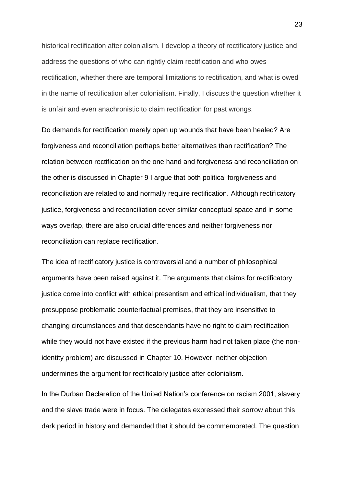historical rectification after colonialism. I develop a theory of rectificatory justice and address the questions of who can rightly claim rectification and who owes rectification, whether there are temporal limitations to rectification, and what is owed in the name of rectification after colonialism. Finally, I discuss the question whether it is unfair and even anachronistic to claim rectification for past wrongs.

Do demands for rectification merely open up wounds that have been healed? Are forgiveness and reconciliation perhaps better alternatives than rectification? The relation between rectification on the one hand and forgiveness and reconciliation on the other is discussed in Chapter 9 I argue that both political forgiveness and reconciliation are related to and normally require rectification. Although rectificatory justice, forgiveness and reconciliation cover similar conceptual space and in some ways overlap, there are also crucial differences and neither forgiveness nor reconciliation can replace rectification.

The idea of rectificatory justice is controversial and a number of philosophical arguments have been raised against it. The arguments that claims for rectificatory justice come into conflict with ethical presentism and ethical individualism, that they presuppose problematic counterfactual premises, that they are insensitive to changing circumstances and that descendants have no right to claim rectification while they would not have existed if the previous harm had not taken place (the nonidentity problem) are discussed in Chapter 10. However, neither objection undermines the argument for rectificatory justice after colonialism.

In the Durban Declaration of the United Nation's conference on racism 2001, slavery and the slave trade were in focus. The delegates expressed their sorrow about this dark period in history and demanded that it should be commemorated. The question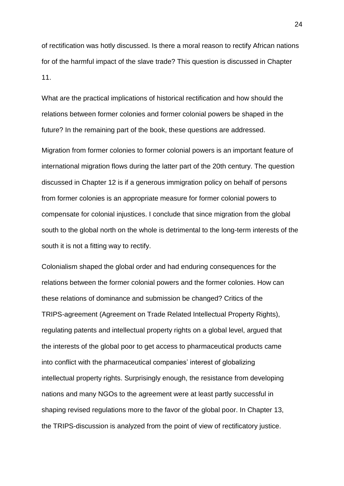of rectification was hotly discussed. Is there a moral reason to rectify African nations for of the harmful impact of the slave trade? This question is discussed in Chapter 11.

What are the practical implications of historical rectification and how should the relations between former colonies and former colonial powers be shaped in the future? In the remaining part of the book, these questions are addressed.

Migration from former colonies to former colonial powers is an important feature of international migration flows during the latter part of the 20th century. The question discussed in Chapter 12 is if a generous immigration policy on behalf of persons from former colonies is an appropriate measure for former colonial powers to compensate for colonial injustices. I conclude that since migration from the global south to the global north on the whole is detrimental to the long-term interests of the south it is not a fitting way to rectify.

Colonialism shaped the global order and had enduring consequences for the relations between the former colonial powers and the former colonies. How can these relations of dominance and submission be changed? Critics of the TRIPS-agreement (Agreement on Trade Related Intellectual Property Rights), regulating patents and intellectual property rights on a global level, argued that the interests of the global poor to get access to pharmaceutical products came into conflict with the pharmaceutical companies' interest of globalizing intellectual property rights. Surprisingly enough, the resistance from developing nations and many NGOs to the agreement were at least partly successful in shaping revised regulations more to the favor of the global poor. In Chapter 13, the TRIPS-discussion is analyzed from the point of view of rectificatory justice.